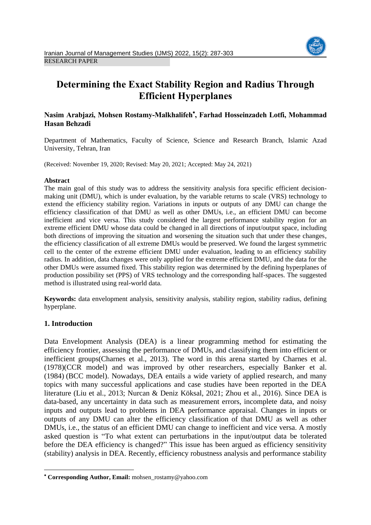

# **Determining the Exact Stability Region and Radius Through Efficient Hyperplanes**

# **Nasim Arabjazi, Mohsen Rostamy-Malkhalifeh , Farhad Hosseinzadeh Lotfi, Mohammad Hasan Behzadi**

Department of Mathematics, Faculty of Science, Science and Research Branch, Islamic Azad University, Tehran, Iran

(Received: November 19, 2020; Revised: May 20, 2021; Accepted: May 24, 2021)

### **Abstract**

The main goal of this study was to address the sensitivity analysis fora specific efficient decisionmaking unit (DMU), which is under evaluation, by the variable returns to scale (VRS) technology to extend the efficiency stability region. Variations in inputs or outputs of any DMU can change the efficiency classification of that DMU as well as other DMUs, i.e., an efficient DMU can become inefficient and vice versa. This study considered the largest performance stability region for an extreme efficient DMU whose data could be changed in all directions of input/output space, including both directions of improving the situation and worsening the situation such that under these changes, the efficiency classification of all extreme DMUs would be preserved. We found the largest symmetric cell to the center of the extreme efficient DMU under evaluation, leading to an efficiency stability radius. In addition, data changes were only applied for the extreme efficient DMU, and the data for the other DMUs were assumed fixed. This stability region was determined by the defining hyperplanes of production possibility set (PPS) of VRS technology and the corresponding half-spaces. The suggested method is illustrated using real-world data.

**Keywords:** data envelopment analysis, sensitivity analysis, stability region, stability radius, defining hyperplane.

# **1. Introduction**

1

Data Envelopment Analysis (DEA) is a linear programming method for estimating the efficiency frontier, assessing the performance of DMUs, and classifying them into efficient or inefficient groups(Charnes et al., 2013). The word in this arena started by Charnes et al. (1978)(CCR model) and was improved by other researchers, especially Banker et al. (1984) (BCC model). Nowadays, DEA entails a wide variety of applied research, and many topics with many successful applications and case studies have been reported in the DEA literature (Liu et al., 2013; Nurcan & Deniz Köksal, 2021; Zhou et al., 2016). Since DEA is data-based, any uncertainty in data such as measurement errors, incomplete data, and noisy inputs and outputs lead to problems in DEA performance appraisal. Changes in inputs or outputs of any DMU can alter the efficiency classification of that DMU as well as other DMUs, i.e., the status of an efficient DMU can change to inefficient and vice versa. A mostly asked question is "To what extent can perturbations in the input/output data be tolerated before the DEA efficiency is changed?" This issue has been argued as efficiency sensitivity (stability) analysis in DEA. Recently, efficiency robustness analysis and performance stability

**Corresponding Author, Email:** mohsen\_rostamy@yahoo.com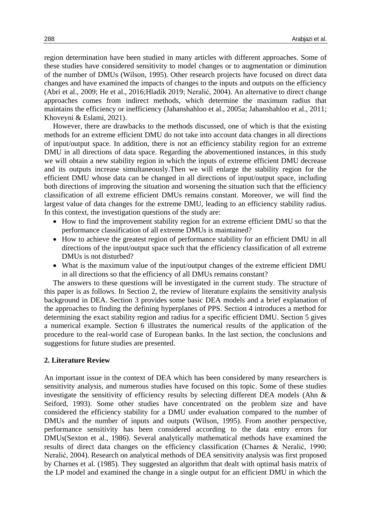region determination have been studied in many articles with different approaches. Some of these studies have considered sensitivity to model changes or to augmentation or diminution of the number of DMUs (Wilson, 1995). Other research projects have focused on direct data changes and have examined the impacts of changes to the inputs and outputs on the efficiency (Abri et al., 2009; He et al., 2016;Hladík 2019; Neralić, 2004). An alternative to direct change approaches comes from indirect methods, which determine the maximum radius that maintains the efficiency or inefficiency (Jahanshahloo et al., 2005a; Jahanshahloo et al., 2011; Khoveyni & Eslami, 2021).

However, there are drawbacks to the methods discussed, one of which is that the existing methods for an extreme efficient DMU do not take into account data changes in all directions of input/output space. In addition, there is not an efficiency stability region for an extreme DMU in all directions of data space. Regarding the abovementioned instances, in this study we will obtain a new stability region in which the inputs of extreme efficient DMU decrease and its outputs increase simultaneously.Then we will enlarge the stability region for the efficient DMU whose data can be changed in all directions of input/output space, including both directions of improving the situation and worsening the situation such that the efficiency classification of all extreme efficient DMUs remains constant. Moreover, we will find the largest value of data changes for the extreme DMU, leading to an efficiency stability radius. In this context, the investigation questions of the study are:

- How to find the improvement stability region for an extreme efficient DMU so that the performance classification of all extreme DMUs is maintained?
- How to achieve the greatest region of performance stability for an efficient DMU in all directions of the input/output space such that the efficiency classification of all extreme DMUs is not disturbed?
- What is the maximum value of the input/output changes of the extreme efficient DMU in all directions so that the efficiency of all DMUs remains constant?

The answers to these questions will be investigated in the current study. The structure of this paper is as follows. In Section 2, the review of literature explains the sensitivity analysis background in DEA. Section 3 provides some basic DEA models and a brief explanation of the approaches to finding the defining hyperplanes of PPS. Section 4 introduces a method for determining the exact stability region and radius for a specific efficient DMU. Section 5 gives a numerical example. Section 6 illustrates the numerical results of the application of the procedure to the real-world case of European banks. In the last section, the conclusions and suggestions for future studies are presented.

#### **2. Literature Review**

An important issue in the context of DEA which has been considered by many researchers is sensitivity analysis, and numerous studies have focused on this topic. Some of these studies investigate the sensitivity of efficiency results by selecting different DEA models (Ahn & Seiford, 1993). Some other studies have concentrated on the problem size and have considered the efficiency stability for a DMU under evaluation compared to the number of DMUs and the number of inputs and outputs (Wilson, 1995). From another perspective, performance sensitivity has been considered according to the data entry errors for DMUs(Sexton et al., 1986). Several analytically mathematical methods have examined the results of direct data changes on the efficiency classification (Charnes & Neralić, 1990; Neralić, 2004). Research on analytical methods of DEA sensitivity analysis was first proposed by Charnes et al. (1985). They suggested an algorithm that dealt with optimal basis matrix of the LP model and examined the change in a single output for an efficient DMU in which the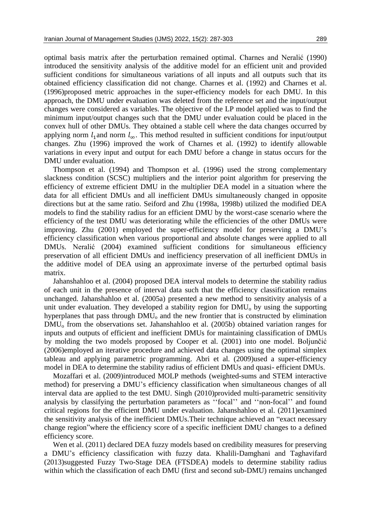optimal basis matrix after the perturbation remained optimal. Charnes and Neralić (1990) introduced the sensitivity analysis of the additive model for an efficient unit and provided sufficient conditions for simultaneous variations of all inputs and all outputs such that its obtained efficiency classification did not change. Charnes et al. (1992) and Charnes et al. (1996)proposed metric approaches in the super-efficiency models for each DMU. In this approach, the DMU under evaluation was deleted from the reference set and the input/output changes were considered as variables. The objective of the LP model applied was to find the minimum input/output changes such that the DMU under evaluation could be placed in the convex hull of other DMUs. They obtained a stable cell where the data changes occurred by applying norm  $l_1$  and norm  $l_{\infty}$ . This method resulted in sufficient conditions for input/output changes. Zhu (1996) improved the work of Charnes et al. (1992) to identify allowable variations in every input and output for each DMU before a change in status occurs for the DMU under evaluation.

Thompson et al. (1994) and Thompson et al. (1996) used the strong complementary slackness condition (SCSC) multipliers and the interior point algorithm for preserving the efficiency of extreme efficient DMU in the multiplier DEA model in a situation where the data for all efficient DMUs and all inefficient DMUs simultaneously changed in opposite directions but at the same ratio. Seiford and Zhu (1998a, 1998b) utilized the modified DEA models to find the stability radius for an efficient DMU by the worst-case scenario where the efficiency of the test DMU was deteriorating while the efficiencies of the other DMUs were improving. Zhu (2001) employed the super-efficiency model for preserving a DMU's efficiency classification when various proportional and absolute changes were applied to all DMUs. Neralić (2004) examined sufficient conditions for simultaneous efficiency preservation of all efficient DMUs and inefficiency preservation of all inefficient DMUs in the additive model of DEA using an approximate inverse of the perturbed optimal basis matrix.

Jahanshahloo et al. (2004) proposed DEA interval models to determine the stability radius of each unit in the presence of interval data such that the efficiency classification remains unchanged. Jahanshahloo et al. (2005a) presented a new method to sensitivity analysis of a unit under evaluation. They developed a stability region for  $DMU_0$  by using the supporting hyperplanes that pass through DMU<sub>o</sub> and the new frontier that is constructed by elimination DMU<sub>o</sub> from the observations set. Jahanshahloo et al. (2005b) obtained variation ranges for inputs and outputs of efficient and inefficient DMUs for maintaining classification of DMUs by molding the two models proposed by Cooper et al. (2001) into one model. Boljunčić (2006)employed an iterative procedure and achieved data changes using the optimal simplex tableau and applying parametric programming. Abri et al. (2009)used a super-efficiency model in DEA to determine the stability radius of efficient DMUs and quasi- efficient DMUs.

Mozaffari et al. (2009)introduced MOLP methods (weighted-sums and STEM interactive method) for preserving a DMU's efficiency classification when simultaneous changes of all interval data are applied to the test DMU. Singh (2010)provided multi-parametric sensitivity analysis by classifying the perturbation parameters as ''focal'' and ''non-focal'' and found critical regions for the efficient DMU under evaluation. Jahanshahloo et al. (2011)examined the sensitivity analysis of the inefficient DMUs.Their technique achieved an "exact necessary change region"where the efficiency score of a specific inefficient DMU changes to a defined efficiency score.

Wen et al. (2011) declared DEA fuzzy models based on credibility measures for preserving a DMU's efficiency classification with fuzzy data. Khalili-Damghani and Taghavifard (2013)suggested Fuzzy Two-Stage DEA (FTSDEA) models to determine stability radius within which the classification of each DMU (first and second sub-DMU) remains unchanged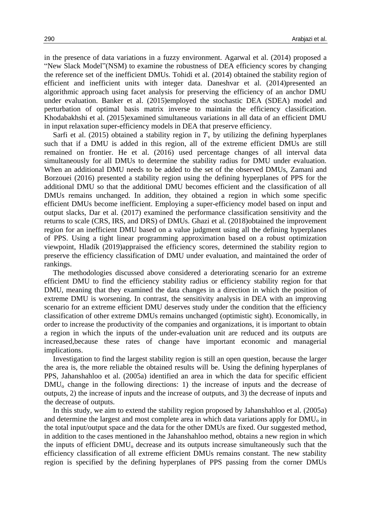in the presence of data variations in a fuzzy environment. Agarwal et al. (2014) proposed a "New Slack Model"(NSM) to examine the robustness of DEA efficiency scores by changing the reference set of the inefficient DMUs. Tohidi et al. (2014) obtained the stability region of efficient and inefficient units with integer data. Daneshvar et al. (2014)presented an algorithmic approach using facet analysis for preserving the efficiency of an anchor DMU under evaluation. Banker et al. (2015)employed the stochastic DEA (SDEA) model and perturbation of optimal basis matrix inverse to maintain the efficiency classification. Khodabakhshi et al. (2015)examined simultaneous variations in all data of an efficient DMU in input relaxation super-efficiency models in DEA that preserve efficiency.

Sarfi et al. (2015) obtained a stability region in  $T<sub>v</sub>$  by utilizing the defining hyperplanes such that if a DMU is added in this region, all of the extreme efficient DMUs are still remained on frontier. He et al. (2016) used percentage changes of all interval data simultaneously for all DMUs to determine the stability radius for DMU under evaluation. When an additional DMU needs to be added to the set of the observed DMUs, Zamani and Borzouei (2016) presented a stability region using the defining hyperplanes of PPS for the additional DMU so that the additional DMU becomes efficient and the classification of all DMUs remains unchanged. In addition, they obtained a region in which some specific efficient DMUs become inefficient. Employing a super-efficiency model based on input and output slacks, Dar et al. (2017) examined the performance classification sensitivity and the returns to scale (CRS, IRS, and DRS) of DMUs. Ghazi et al. (2018)obtained the improvement region for an inefficient DMU based on a value judgment using all the defining hyperplanes of PPS. Using a tight linear programming approximation based on a robust optimization viewpoint, Hladík (2019)appraised the efficiency scores, determined the stability region to preserve the efficiency classification of DMU under evaluation, and maintained the order of rankings.

The methodologies discussed above considered a deteriorating scenario for an extreme efficient DMU to find the efficiency stability radius or efficiency stability region for that DMU, meaning that they examined the data changes in a direction in which the position of extreme DMU is worsening. In contrast, the sensitivity analysis in DEA with an improving scenario for an extreme efficient DMU deserves study under the condition that the efficiency classification of other extreme DMUs remains unchanged (optimistic sight). Economically, in order to increase the productivity of the companies and organizations, it is important to obtain a region in which the inputs of the under-evaluation unit are reduced and its outputs are increased,because these rates of change have important economic and managerial implications.

Investigation to find the largest stability region is still an open question, because the larger the area is, the more reliable the obtained results will be. Using the defining hyperplanes of PPS, Jahanshahloo et al. (2005a) identified an area in which the data for specific efficient DMU<sub>o</sub> change in the following directions: 1) the increase of inputs and the decrease of outputs, 2) the increase of inputs and the increase of outputs, and 3) the decrease of inputs and the decrease of outputs.

In this study, we aim to extend the stability region proposed by Jahanshahloo et al. (2005a) and determine the largest and most complete area in which data variations apply for DMU<sub>o</sub> in the total input/output space and the data for the other DMUs are fixed. Our suggested method, in addition to the cases mentioned in the Jahanshahloo method, obtains a new region in which the inputs of efficient DMU<sup>o</sup> decrease and its outputs increase simultaneously such that the efficiency classification of all extreme efficient DMUs remains constant. The new stability region is specified by the defining hyperplanes of PPS passing from the corner DMUs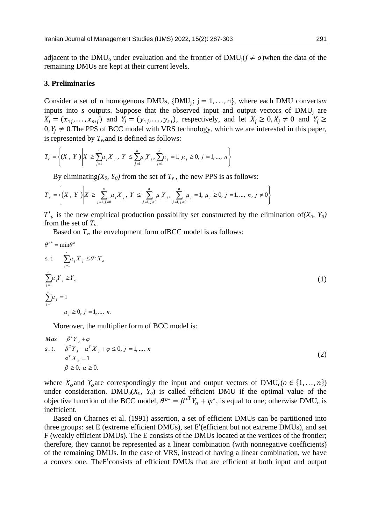adjacent to the DMU<sub>0</sub> under evaluation and the frontier of DMU<sub>j</sub>( $j \neq 0$ ) when the data of the remaining DMUs are kept at their current levels.

#### **3. Preliminaries**

Consider a set of *n* homogenous DMUs,  $\{DMU_j; j = 1, ..., n\}$ , where each DMU convertsm inputs into  $s$  outputs. Suppose that the observed input and output vectors of  $DMU_i$  are  $X_j = (x_{1j},...,x_{mj})$  and  $Y_j = (y_{1j},...,y_{sj})$ , respectively, and let  $X_j \ge 0, X_j \ne 0$  and  $Y_j \ge 0$ 0,  $Y_j \neq 0$ . The PPS of BCC model with VRS technology, which we are interested in this paper, is represented by  $T_v$ , and is defined as follows:<br> $T_v = \left\{ (X, Y) \middle| X \ge \sum_{j=1}^n \mu_j X_j, Y \le \sum_{j=1}^n \mu_j Y_j, \sum_{j=1}^n \mu_j = 1, \mu_j \ge 0$ 

is represented by 
$$
T_{\nu}
$$
, and is defined as follows:  
\n
$$
T_{\nu} = \left\{ (X, Y) \middle| X \ge \sum_{j=1}^{n} \mu_j X_j, Y \le \sum_{j=1}^{n} \mu_j Y_j, \sum_{j=1}^{n} \mu_j = 1, \mu_j \ge 0, j = 1, ..., n \right\}
$$

By eliminating(*X*<sub>0</sub>, *Y*<sub>0</sub>) from the set of *T<sub>v</sub>*, the new PPS is as follows:  
\n
$$
T_v = \left\{ (X, Y) \middle| X \ge \sum_{j=1, j \ne 0}^{n} \mu_j X_j, Y \le \sum_{j=1, j \ne 0}^{n} \mu_j Y_j, \sum_{j=1, j \ne 0}^{n} \mu_j Y_j, \sum_{j=1, j \ne 0}^{n} \mu_j = 1, \mu_j \ge 0, j = 1, ..., n, j \ne 0 \right\}
$$

 $T'_{v}$  is the new empirical production possibility set constructed by the elimination of  $(X_0, Y_0)$ from the set of *Tv*.

Based on  $T_v$ , the envelopment form of BCC model is as follows:

$$
\theta^{o^*} = \min \theta^o
$$
  
s. t. 
$$
\sum_{j=1}^n \mu_j X_j \leq \theta^o X_o
$$
  

$$
\sum_{j=1}^n \mu_j Y_j \geq Y_o
$$
  

$$
\sum_{j=1}^n \mu_j = 1
$$
  

$$
\mu_j \geq 0, j = 1, ..., n.
$$
 (1)

Moreover, the multiplier form of BCC model is:

$$
Max \t \beta^{T} Y_{o} + \varphi
$$
  
s.t.  $\beta^{T} Y_{j} - \alpha^{T} X_{j} + \varphi \leq 0, j = 1, ..., n$   
 $\alpha^{T} X_{o} = 1$   
 $\beta \geq 0, \alpha \geq 0.$  (2)

where  $X_0$  and  $Y_0$  are correspondingly the input and output vectors of  $\text{DMU}_0(o \in \{1, ..., n\})$ under consideration. DMU<sub>0</sub>( $X_o$ ,  $Y_o$ ) is called efficient DMU if the optimal value of the objective function of the BCC model,  $\theta^{o*} = \beta^{*T} Y_o + \varphi^*$ , is equal to one; otherwise DMU<sub>o</sub> is inefficient.

Based on Charnes et al. (1991) assertion, a set of efficient DMUs can be partitioned into three groups: set E (extreme efficient DMUs), set E′(efficient but not extreme DMUs), and set F (weakly efficient DMUs). The E consists of the DMUs located at the vertices of the frontier; therefore, they cannot be represented as a linear combination (with nonnegative coefficients) of the remaining DMUs. In the case of VRS, instead of having a linear combination, we have a convex one. TheE′consists of efficient DMUs that are efficient at both input and output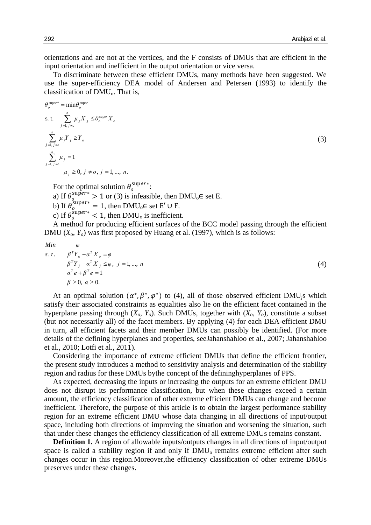(4)

orientations and are not at the vertices, and the F consists of DMUs that are efficient in the input orientation and inefficient in the output orientation or vice versa.

To discriminate between these efficient DMUs, many methods have been suggested. We use the super-efficiency DEA model of Andersen and Petersen (1993) to identify the classification of  $DMU<sub>o</sub>$ . That is,

$$
\theta_{o}^{\text{super}} = \min \theta_{o}^{\text{super}}
$$
  
s. t. 
$$
\sum_{j=1, j \neq o}^{n} \mu_{j} X_{j} \leq \theta_{o}^{\text{super}} X_{o}
$$

$$
\sum_{j=1, j \neq o}^{n} \mu_{j} Y_{j} \geq Y_{o}
$$

$$
\sum_{j=1, j \neq o}^{n} \mu_{j} = 1
$$

$$
\mu_{j} \geq 0, j \neq o, j = 1, ..., n.
$$

$$
(3)
$$

For the optimal solution  $\theta_o^{\text{super}*}$ :

a) If  $\theta_0^{\text{super*}} > 1$  or (3) is infeasible, then DMU<sub>0</sub>  $\in$  set E.

b) If  $\theta_0^{\text{super*}} = 1$ , then DMU<sub>0</sub> $\in$  set E'  $\cup$  F.

c) If  $\theta_0^{\text{super*}} < 1$ , then DMU<sub>o</sub> is inefficient.

A method for producing efficient surfaces of the BCC model passing through the efficient DMU  $(X_0, Y_0)$  was first proposed by Huang et al. (1997), which is as follows:

$$
Min
$$

*Min φ*

$$
\begin{array}{ll}\n\text{with} & \varphi \\
\text{s.t.} & \beta^T Y_o - \alpha^T X_o = \varphi \\
& \beta^T Y_j - \alpha^T X_j \leq \varphi, \ j = 1, \dots, \ n \\
& \alpha^T e + \beta^T e = 1 \\
& \beta \geq 0, \ \alpha \geq 0.\n\end{array}
$$

At an optimal solution  $(\alpha^*, \beta^*, \varphi^*)$  to (4), all of those observed efficient DMU<sub>j</sub>s which satisfy their associated constraints as equalities also lie on the efficient facet contained in the hyperplane passing through  $(X_o, Y_o)$ . Such DMUs, together with  $(X_o, Y_o)$ , constitute a subset (but not necessarily all) of the facet members. By applying (4) for each DEA-efficient DMU in turn, all efficient facets and their member DMUs can possibly be identified. (For more details of the defining hyperplanes and properties, seeJahanshahloo et al., 2007; Jahanshahloo et al., 2010; Lotfi et al., 2011).

Considering the importance of extreme efficient DMUs that define the efficient frontier, the present study introduces a method to sensitivity analysis and determination of the stability region and radius for these DMUs bythe concept of the defininghyperplanes of PPS.

As expected, decreasing the inputs or increasing the outputs for an extreme efficient DMU does not disrupt its performance classification, but when these changes exceed a certain amount, the efficiency classification of other extreme efficient DMUs can change and become inefficient. Therefore, the purpose of this article is to obtain the largest performance stability region for an extreme efficient DMU whose data changing in all directions of input/output space, including both directions of improving the situation and worsening the situation, such that under these changes the efficiency classification of all extreme DMUs remains constant.

**Definition 1.** A region of allowable inputs/outputs changes in all directions of input/output space is called a stability region if and only if  $DMU<sub>o</sub>$  remains extreme efficient after such changes occur in this region.Moreover,the efficiency classification of other extreme DMUs preserves under these changes.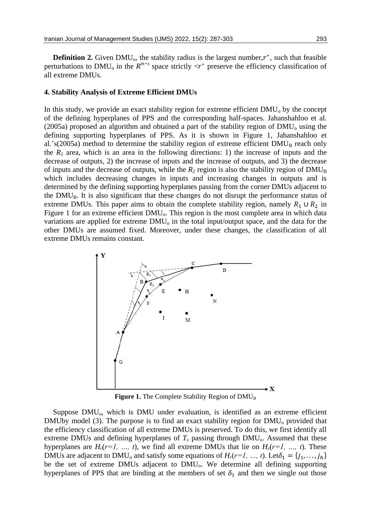**Definition 2.** Given  $DMU_0$ , the stability radius is the largest number, $r^*$ , such that feasible perturbations to DMU<sub>o</sub> in the  $R^{m+s}$  space strictly  $\langle r^*$  preserve the efficiency classification of all extreme DMUs.

#### **4. Stability Analysis of Extreme Efficient DMUs**

In this study, we provide an exact stability region for extreme efficient  $DMU<sub>o</sub>$  by the concept of the defining hyperplanes of PPS and the corresponding half-spaces. Jahanshahloo et al. (2005a) proposed an algorithm and obtained a part of the stability region of  $DMU<sub>o</sub>$  using the defining supporting hyperplanes of PPS. As it is shown in Figure 1, Jahanshahloo et al.'s(2005a) method to determine the stability region of extreme efficient  $DMU<sub>B</sub>$  reach only the  $R_I$  area, which is an area in the following directions: 1) the increase of inputs and the decrease of outputs, 2) the increase of inputs and the increase of outputs, and 3) the decrease of inputs and the decrease of outputs, while the  $R_2$  region is also the stability region of  $DMU_B$ which includes decreasing changes in inputs and increasing changes in outputs and is determined by the defining supporting hyperplanes passing from the corner DMUs adjacent to the  $DMU_B$ . It is also significant that these changes do not disrupt the performance status of extreme DMUs. This paper aims to obtain the complete stability region, namely  $R_1 \cup R_2$  in Figure 1 for an extreme efficient DMU<sub>0</sub>. This region is the most complete area in which data variations are applied for extreme  $DMU<sub>o</sub>$  in the total input/output space, and the data for the other DMUs are assumed fixed. Moreover, under these changes, the classification of all extreme DMUs remains constant.



Figure 1. The Complete Stability Region of DMU<sub>B</sub>

Suppose DMU<sub>0</sub>, which is DMU under evaluation, is identified as an extreme efficient DMUby model (3). The purpose is to find an exact stability region for  $DMU<sub>o</sub>$  provided that the efficiency classification of all extreme DMUs is preserved. To do this, we first identify all extreme DMUs and defining hyperplanes of  $T_\nu$  passing through DMU<sub>0</sub>. Assumed that these hyperplanes are  $H_r(r=1, \ldots, t)$ , we find all extreme DMUs that lie on  $H_r(r=1, \ldots, t)$ . These DMUs are adjacent to DMU<sub>o</sub> and satisfy some equations of  $H_r(r=1, ..., t)$ . Let $\delta_1 = \{j_1, ..., j_h\}$ be the set of extreme DMUs adjacent to DMU<sub>0</sub>. We determine all defining supporting hyperplanes of PPS that are binding at the members of set  $\delta_1$  and then we single out those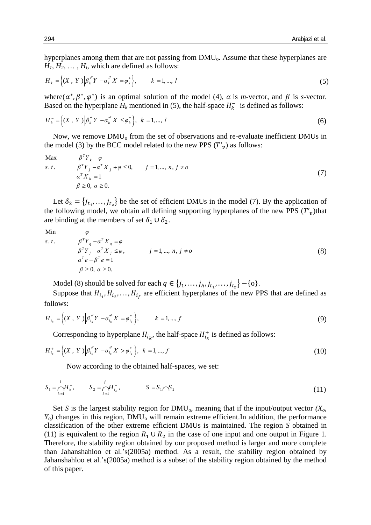hyperplanes among them that are not passing from DMU<sub>0</sub>. Assume that these hyperplanes are

$$
H_1, H_2, \dots, H_l
$$
, which are defined as follows:  

$$
H_k = \{(X, Y) \mid \beta_k^{*Y} - \alpha_k^{*X} = \varphi_k^* \}, \qquad k = 1, \dots, l
$$
 (5)

where( $\alpha^*, \beta^*, \varphi^*$ ) is an optimal solution of the model (4),  $\alpha$  is *m*-vector, and  $\beta$  is *s*-vector. Based on the hyperplane  $H_k$  mentioned in (5), the half-space  $H_k^-$  is defined as follows:

$$
H_k^- = \left\{ (X, Y) \Big| \beta_k^{*Y} - \alpha_k^{*X} \leq \varphi_k^* \right\}, \ k = 1, ..., l
$$
 (6)

Now, we remove DMU<sub>o</sub> from the set of observations and re-evaluate inefficient DMUs in

the model (3) by the BCC model related to the new PPS 
$$
(T'_v)
$$
 as follows:  
\nMax  $\beta^T Y_k + \varphi$   
\ns.t.  $\beta^T Y_j - \alpha^T X_j + \varphi \le 0$ ,  $j = 1, ..., n, j \ne 0$   
\n $\alpha^T X_k = 1$   
\n $\beta \ge 0, \alpha \ge 0$ . (7)

Let  $\delta_2 = \{j_{t_1},...,j_{t_z}\}\$ be the set of efficient DMUs in the model (7). By the application of the following model, we obtain all defining supporting hyperplanes of the new PPS  $(T'_v)$ that are binding at the members of set  $\delta_1 \cup \delta_2$ .

Min

Min 
$$
\varphi
$$
  
\ns.t.  $\beta^T Y_q - \alpha^T X_q = \varphi$   
\n $\beta^T Y_j - \alpha^T X_j \le \varphi$ ,  $j = 1, ..., n, j \ne 0$   
\n $\alpha^T e + \beta^T e = 1$   
\n $\beta \ge 0, \alpha \ge 0$ . (8)

Model (8) should be solved for each  $q \in \{j_1, ..., j_h, j_{t_1}, ..., j_{t_2}\} - \{o\}.$ 

Suppose that  $H_{i_1}, H_{i_2}, \ldots, H_{i_f}$  are efficient hyperplanes of the new PPS that are defined as follows:

$$
H_{i_k} = \left\{ (X \, , \, Y \,) \Big| \beta_{i_k}^{*T} - \alpha_{i_k}^{*T} - \beta_{i_k}^{*} \right\}, \qquad k = 1, ..., f
$$
\n(9)

Corresponding to hyperplane  $H_{i_k}$ , the half-space  $H_{i_k}^+$  is defined as follows:

$$
H_{i_k}^+ = \left\{ (X \, , \, Y \, ) \Big| \beta_{i_k}^{*y} Y - \alpha_{i_k}^{*y} X > \varphi_{i_k}^* \right\}, \, k = 1, ..., f \tag{10}
$$

Now according to the obtained half-spaces, we set:

Now according to the obtained han-spaces, we set:  
\n
$$
S_1 = \bigcap_{k=1}^l H_k^-, \qquad S_2 = \bigcap_{k=1}^f H_{i_k}^+, \qquad S = S_1 \bigcap S_2 \tag{11}
$$

Set *S* is the largest stability region for DMUo, meaning that if the input/output vector *(Xo,*   $Y<sub>o</sub>$  changes in this region, DMU<sub>o</sub> will remain extreme efficient.In addition, the performance classification of the other extreme efficient DMUs is maintained. The region *S* obtained in (11) is equivalent to the region  $R_1 \cup R_2$  in the case of one input and one output in Figure 1. Therefore, the stability region obtained by our proposed method is larger and more complete than Jahanshahloo et al.'s(2005a) method. As a result, the stability region obtained by Jahanshahloo et al.'s(2005a) method is a subset of the stability region obtained by the method of this paper.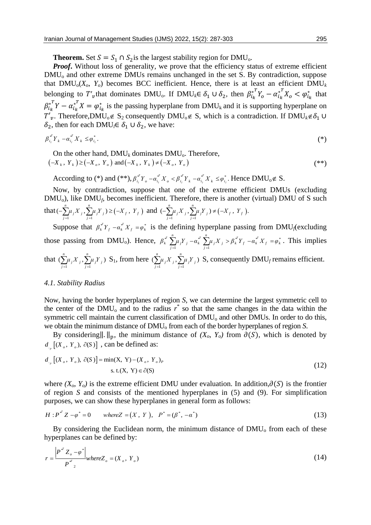**Theorem.** Set  $S = S_1 \cap S_2$  is the largest stability region for DMU<sub>0</sub>.

Proof. Without loss of generality, we prove that the efficiency status of extreme efficient  $DMU<sub>o</sub>$  and other extreme DMUs remains unchanged in the set S. By contradiction, suppose that  $DMU_0(X_o, Y_o)$  becomes BCC inefficient. Hence, there is at least an efficient  $DMU_k$ belonging to T'<sub>v</sub>that dominates DMU<sub>0</sub>. If DMU<sub>k</sub>∈  $\delta_1 \cup \delta_2$ , then  $\beta_{i_k}^{*T} Y_o - \alpha_{i_k}^{*T} X_o < \varphi_{i_k}^*$  that  $\beta_{i_k}^{*T} Y - \alpha_{i_k}^{*T} X = \varphi_{i_k}^{*}$  is the passing hyperplane from DMU<sub>k</sub> and it is supporting hyperplane on  $T'_{\nu}$ . Therefore,DMU<sub>0</sub>∉ S<sub>2</sub> consequently DMU<sub>0</sub>∉ S, which is a contradiction. If DMU<sub>k</sub>∉δ<sub>1</sub> ∪  $\delta_2$ , then for each DMU<sub>l</sub>∈  $\delta_1 \cup \delta_2$ , we have:

$$
\beta_{i_l}^{\mathscr{F}} Y_k - \alpha_{i_l}^{\mathscr{F}} X_k \leq \varphi_{i_l}^* \,. \tag{(*)}
$$

On the other hand, 
$$
DMU_k
$$
 dominates  $DMU_o$ . Therefore,  
\n $(-X_k, Y_k) \ge (-X_o, Y_o)$  and  $(-X_k, Y_k) \ne (-X_o, Y_o)$ 

According to (\*) and (\*\*),  $\beta_{i_1}^{*^T} Y_o - \alpha_{i_1}^{*^T} X_o < \beta_{i_1}^{*^T} Y_k - \alpha_{i_1}^{*^T} X_k \leq \varphi_{i_1}^*$ . Hence DMU<sub>0</sub>  $\notin$  S.

Now, by contradiction, suppose that one of the extreme efficient DMUs (excluding DMU<sub>0</sub>), like DMU<sub>f</sub>, becomes inefficient. Therefore, there is another (virtual) DMU of S such that  $\left(-\sum_{j=1}^M \mu_j X_j, \sum_{j=1}^M \mu_j Y_j\right) \geq \left(-X_f, Y_f\right)$  $(-\sum_{j=1}^{n} \mu_j X_j, \sum_{j=1}^{n} \mu_j Y_j) \ge (-X_f,$  $\sum_{j=1}^j \mu_j X_j$ ,  $\sum_{j=1}^j \mu_j Y_j$ )  $\geq (-X_f, Y_f)$ The DNO<sub>f</sub>, becomes memore, interesting the is another<br>  $\mu_j X_j$ ,  $\sum_{j=1}^n \mu_j Y_j$ )  $\geq (-X_f, Y_f)$  and  $\left(-\sum_{j=1}^n \mu_j X_j, \sum_{j=1}^n \mu_j Y_j\right) \neq (-X_f, Y_f)$ .  $\sum_{j=1}^{n} \mu_j X_j$ ,  $\sum_{j=1}^{n} \mu_j Y_j$ )  $\neq (-X_f, Y_f)$ .

Suppose that  $\beta_k^* Y_f - \alpha_k^* X_f = \varphi_k^*$  is the defining hyperplane passing from DMU<sub>f</sub>(excluding those passing from DMU<sub>o</sub>). Hence,  $\beta_k^* \sum_{i=1}^n \mu_i X_i - \alpha_k^* \sum_{i=1}^n \mu_i X_i > \beta_k^* Y_i - \alpha_k^* X_i = \varphi_k^*$ defining hyperplane passing from DM<br>  $\sum_{j=1}^{n} \mu_j Y_j - \alpha_k^* \sum_{j=1}^{n} \mu_j X_j > \beta_k^* Y_j - \alpha_k^* X_j = \varphi_k^*$ .  $T^{\frac{n}{\sum_{i=1}^{n} Y_i}}$   $T^{\frac{n}{\sum_{i=1}^{n} Y_i}}$   $T^{\frac{n}{\sum_{i=1}^{n} Y_i}}$ *k*  $\beta_k^{\mu} \sum_{j=1}^n \mu_j Y_j - \alpha_k^{\mu} \sum_{j=1}^n \mu_j X_j > \beta_k^{\mu} Y_j - \alpha_k^{\mu} X_j = \varphi_k^*$ . This implies that  $1 \t j = 1$  $(\sum \mu_i X_i, \sum \mu_i Y_i)$  $\sum_{j=1}^{n} \mu_j X_j$ ,  $\sum_{j=1}^{n} \mu_j$  $\sum_{j=1}^{\mu} \mu_j \Lambda_j$ ,  $\sum_{j=1}^{\mu} \mu_j I_j$  $\mu_j X_j$ ,  $\sum_{j=1}^N \mu_j Y_j$ ) S<sub>1</sub>, from here  $\sum_{j=1}^N \mu_j X_j$ ,  $\sum_{j=1}^N \mu_j Y_j$  $(\sum \mu_i X_i, \sum \mu_i Y_i)$  $\sum_{j=1}^{n} \mu_j X_j$ ,  $\sum_{j=1}^{n} \mu_j$  $\sum_{j=1}^{\mu} \mu_j \Lambda_j$ ,  $\sum_{j=1}^{\mu} \mu_j I_j$  $\mu_i X_i$ ,  $\sum \mu_i Y_i$ ) S, consequently DMU<sub>f</sub> remains efficient.

#### *4.1. Stability Radius*

Now, having the border hyperplanes of region *S*, we can determine the largest symmetric cell to the center of the DMU<sub>0</sub> and to the radius  $r^*$  so that the same changes in the data within the symmetric cell maintain the current classification of  $DMU<sub>o</sub>$  and other  $DMUs$ . In order to do this, we obtain the minimum distance of  $DMU_0$  from each of the border hyperplanes of region *S*.

By considering∥.  $\parallel_{p}$ , the minimum distance of *(X<sub>o</sub>*, *Y<sub>o</sub>)* from  $\partial(S)$ , which is denoted by  $d_{\rho}$  [( $X_o$ ,  $Y_o$ ),  $\partial(S)$ ], can be defined as:

$$
d_{\rho} \left[ (X_o, Y_o), \partial(S) \right] = \min(X, Y) - (X_o, Y_o)_P
$$
  
s. t.(X, Y)  $\in \partial(S)$  (12)

where  $(X_o, Y_o)$  is the extreme efficient DMU under evaluation. In addition, $\partial(S)$  is the frontier of region *S* and consists of the mentioned hyperplanes in (5) and (9). For simplification purposes, we can show these hyperplanes in general form as follows:<br> *H*:  $P^* Z - \varphi^* = 0$  whereZ = (*X*, *Y*),  $P^* = (\beta^*, -\alpha^*)$ 

$$
H: P^{*'}Z - \varphi^* = 0 \qquad \text{where } Z = (X, Y), \quad P^* = (\beta^*, -\alpha^*)
$$
 (13)

By considering the Euclidean norm, the minimum distance of  $DMU<sub>o</sub>$  from each of these hyperplanes can be defined by:

$$
r = \frac{|P^{*} Z_o - \varphi^*|}{P^{*} Q_{0}} \quad \text{where} \quad Z_o = (X_o, Y_o) \tag{14}
$$

(\*\*)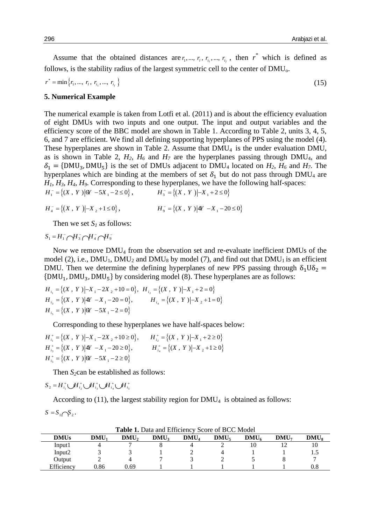Assume that the obtained distances are  $r_1, ..., r_i, r_{i_1}, ..., r_{i_j}$ , then  $r^*$  which is defined as follows, is the stability radius of the largest symmetric cell to the center of  $DMU<sub>o</sub>$ .

$$
r^* = \min\{r_1, ..., r_i, r_{i_1}, ..., r_{i_j}\}\tag{15}
$$

#### **5. Numerical Example**

The numerical example is taken from Lotfi et al. (2011) and is about the efficiency evaluation of eight DMUs with two inputs and one output. The input and output variables and the efficiency score of the BBC model are shown in Table 1. According to Table 2, units 3, 4, 5, 6, and 7 are efficient. We find all defining supporting hyperplanes of PPS using the model (4). These hyperplanes are shown in Table 2. Assume that  $DMU_4$  is the under evaluation DMU, as is shown in Table 2,  $H_2$ ,  $H_6$  and  $H_7$  are the hyperplanes passing through DMU<sub>4</sub>, and  $\delta_1$  = {DMU<sub>3</sub>, DMU<sub>5</sub>} is the set of DMU<sub>s</sub> adjacent to DMU<sub>4</sub> located on *H*<sub>2</sub>, *H*<sub>6</sub> and *H*<sub>7</sub>. The hyperplanes which are binding at the members of set  $\delta_1$  but do not pass through DMU<sub>4</sub> are *H1*, *H3*, *H4*, *H9*. Corresponding to these hyperplanes, we have the following half-spaces:  $H_1^- = \{(X, Y) | 0Y - 5X_1 - 2 \le 0\},\$  $H_3^- = \{(X, Y) | -X_1 + 2 \leq 0\}$ 

$$
H_4^- = \{(X, Y) | -X_2 + 1 \le 0\}, \qquad H_9^- = \{(X, Y) | 4Y - X_1 - 20 \le 0\}
$$

Then we set  $S_l$  as follows:

$$
S_1 = H_1^- \bigcap H_3^- \bigcap H_4^- \bigcap H_9^-
$$

Now we remove DMU<sup>4</sup> from the observation set and re-evaluate inefficient DMUs of the model (2), i.e.,  $DMU_1$ ,  $DMU_2$  and  $DMU_8$  by model (7), and find out that  $DMU_1$  is an efficient DMU. Then we determine the defining hyperplanes of new PPS passing through  $\delta_1 U \delta_2 =$ {DMU<sub>1</sub>, DMU<sub>3</sub>, DMU<sub>5</sub>} by considering model (8). These hyperplanes are as follows:<br> $H_{i_1} = \{(X, Y) | -X_1 - 2X_2 + 10 = 0\}, H_{i_2} = \{(X, Y) | -X_1 + 2 = 0\}$ 

$$
H_{i_1} = \{(X, Y) | -X_1 - 2X_2 + 10 = 0\}, \quad H_{i_2} = \{(X, Y) | -X_1 + 2 = 0\}
$$
  
\n
$$
H_{i_3} = \{(X, Y) | 4Y - X_1 - 20 = 0\}, \qquad H_{i_4} = \{(X, Y) | -X_2 + 1 = 0\}
$$
  
\n
$$
H_{i_5} = \{(X, Y) | 6Y - 5X_1 - 2 = 0\}
$$

Corresponding to these hyperplanes we have half-spaces below:  
\n
$$
H_{i_1}^+ = \{(X, Y) | -X_1 - 2X_2 + 10 \ge 0\},
$$
  $H_{i_2}^+ = \{(X, Y) | -X_1 + 2 \ge 0\}$   
\n $H_{i_3}^+ = \{(X, Y) | 4Y - X_1 - 20 \ge 0\},$   $H_{i_4}^+ = \{(X, Y) | -X_2 + 1 \ge 0\}$   
\n $H_{i_5}^+ = \{(X, Y) | 6Y - 5X_1 - 2 \ge 0\}$ 

Then *S*<sub>2</sub>can be established as follows:<br>=  $H_{i_1}^+ \cup H_{i_2}^+ \cup H_{i_3}^+ \cup H_{i_4}^+ \cup H_{i_5}^+$ 

$$
S_2 = H_{i_1}^+ \bigcup H_{i_2}^+ \bigcup H_{i_3}^+ \bigcup H_{i_4}^+ \bigcup H_{i_5}^+
$$

According to  $(11)$ , the largest stability region for  $DMU<sub>4</sub>$  is obtained as follows:

$$
S = S_1 \cap S_2.
$$

| <b>Table 1.</b> Data and Emerging Score of BCC Model |      |      |                  |         |                  |         |                  |                  |  |  |
|------------------------------------------------------|------|------|------------------|---------|------------------|---------|------------------|------------------|--|--|
| <b>DMUs</b>                                          | DMU1 | DMU, | DMU <sub>3</sub> | $DMU_4$ | DMU <sub>5</sub> | $DMU_6$ | DMU <sub>7</sub> | DMU <sub>s</sub> |  |  |
| Input1                                               |      |      |                  |         |                  |         |                  |                  |  |  |
| Input2                                               |      |      |                  |         |                  |         |                  |                  |  |  |
| Output                                               |      |      |                  |         |                  |         |                  |                  |  |  |
| Efficiency                                           | 0.86 | 0.69 |                  |         |                  |         |                  | $\rm 0.8$        |  |  |

**Table 1.** Data and Efficiency Score of BCC Model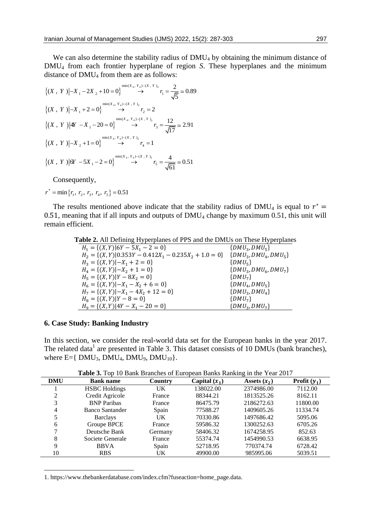We can also determine the stability radius of DMU<sub>4</sub> by obtaining the minimum distance of DMU<sup>4</sup> from each frontier hyperplane of region *S*. These hyperplanes and the minimum

distance of DMU<sub>4</sub> from them are as follows:  
\n
$$
\{(X, Y) | -X_1 - 2X_2 + 10 = 0\} \longrightarrow \gamma_1 = \frac{2}{\sqrt{5}} \approx 0.89
$$
\n
$$
\{(X, Y) | -X_1 + 2 = 0\} \longrightarrow \gamma_2 = 2
$$
\n
$$
\{(X, Y) | 4Y - X_1 - 20 = 0\} \longrightarrow \gamma_3 = \frac{12}{\sqrt{17}} \approx 2.91
$$
\n
$$
\{(X, Y) | -X_2 + 1 = 0\} \longrightarrow \gamma_4 = 1
$$
\n
$$
\{(X, Y) | -X_2 + 1 = 0\} \longrightarrow \gamma_5 = \frac{4}{\sqrt{17}} \approx 0.51
$$

Consequently,

$$
r^* = \min\{r_1, r_2, r_3, r_4, r_5\} = 0.51
$$

The results mentioned above indicate that the stability radius of DMU<sub>4</sub> is equal to  $r^*$  = 0.51, meaning that if all inputs and outputs of  $DMU_4$  change by maximum 0.51, this unit will remain efficient.

**Table 2.** All Defining Hyperplanes of PPS and the DMUs on These Hyperplanes

| ----                                                                                  |                           |  |  |  |  |
|---------------------------------------------------------------------------------------|---------------------------|--|--|--|--|
| $H_1 = \{(X, Y)   6Y - 5X_1 - 2 = 0\}$                                                | $\{DMU_3, DMU_5\}$        |  |  |  |  |
| $H_2 = \{(X, Y)   0.353Y - 0.412X_1 - 0.235X_2 + 1.0 = 0\}$ $\{DMU_3, DMU_4, DMU_5\}$ |                           |  |  |  |  |
| $H_3 = \{(X,Y)   -X_1 + 2 = 0\}$                                                      | $\{DMU_{5}\}\$            |  |  |  |  |
| $H_4 = \{(X, Y)   -X_2 + 1 = 0\}$                                                     | $\{DMU_3, DMU_6, DMU_7\}$ |  |  |  |  |
| $H_5 = \{(X,Y) Y - 8X_2 = 0\}$                                                        | $\{DMU_7\}$               |  |  |  |  |
| $H_6 = \{(X, Y)   -X_1 - X_2 + 6 = 0\}$                                               | $\{DMU_4, DMU_5\}$        |  |  |  |  |
| $H_7 = \{(X,Y)   -X_1 - 4X_2 + 12 = 0\}$                                              | $\{DMU_3, DMU_4\}$        |  |  |  |  |
| $H_8 = \{(X,Y) Y - 8 = 0\}$                                                           | $\{DMU_7\}$               |  |  |  |  |
| $H_9 = \{(X, Y)   4Y - X_1 - 20 = 0\}$                                                | $\{DMU_3, DMU_7\}$        |  |  |  |  |

## **6. Case Study: Banking Industry**

1

In this section, we consider the real-world data set for the European banks in the year 2017. The related data<sup>1</sup> are presented in Table 3. This dataset consists of 10 DMUs (bank branches), where  $E = \{ DMU_3, DMU_4, DMU_9, DMU_{10} \}.$ 

**Table 3.** Top 10 Bank Branches of European Banks Ranking in the Year 2017

| <b>DMU</b> | <b>Bank name</b>     | Country   | Capital $(x_1)$ | Assets $(x_2)$ | Profit $(y_1)$ |
|------------|----------------------|-----------|-----------------|----------------|----------------|
|            | <b>HSBC</b> Holdings | UK        | 138022.00       | 2374986.00     | 7112.00        |
| 2          | Credit Agricole      | France    | 88344.21        | 1813525.26     | 8162.11        |
|            | <b>BNP</b> Paribas   | France    | 86475.79        | 2186272.63     | 11800.00       |
| 4          | Banco Santander      | Spain     | 77588.27        | 1409605.26     | 11334.74       |
| 5          | <b>Barclays</b>      | <b>UK</b> | 70330.86        | 1497686.42     | 5095.06        |
| 6          | Groupe BPCE          | France    | 59586.32        | 1300252.63     | 6705.26        |
|            | Deutsche Bank        | Germany   | 58406.32        | 1674258.95     | 852.63         |
| 8          | Societe Generale     | France    | 55374.74        | 1454990.53     | 6638.95        |
| 9          | <b>BBVA</b>          | Spain     | 52718.95        | 770374.74      | 6728.42        |
| 10         | <b>RBS</b>           | <b>UK</b> | 49900.00        | 985995.06      | 5039.51        |

1. https://www.thebankerdatabase.com/index.cfm?fuseaction=home\_page.data.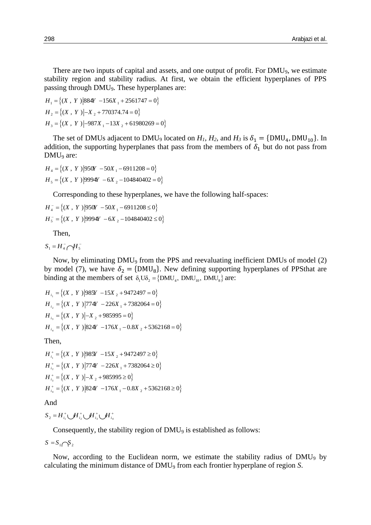There are two inputs of capital and assets, and one output of profit. For DMU<sub>9</sub>, we estimate stability region and stability radius. At first, we obtain the efficient hyperplanes of PPS passing through DMU9. These hyperplanes are:

passing unough Dividy. These hyperprant<br> $H_1 = \{(X, Y) | 884Y - 156X_1 + 2561747 = 0 \}$  $H_1 = \{(X, Y) | 884Y - 156X_1 + 256174Y_1\}$ <br> $H_2 = \{(X, Y) | -X_2 + 770374.74 = 0\}$  $H_2 = \{(X, Y)|-X_2 + 7/03/4.74 = 0\}$ <br> $H_3 = \{(X, Y)|-987X_1 - 13X_2 + 61980269 = 0\}$ 

The set of DMUs adjacent to DMU<sub>9</sub> located on  $H_1$ ,  $H_2$ , and  $H_3$  is  $\delta_1 = \{DMU_4, DMU_{10}\}$ . In addition, the supporting hyperplanes that pass from the members of  $\delta_1$  but do not pass from DMU<sub>9</sub> are:

$$
H_4 = \{(X, Y) | 950Y - 50X_1 - 6911208 = 0 \}
$$
  
\n
$$
H_5 = \{(X, Y) | 9994Y - 6X_2 - 104840402 = 0 \}
$$

Corresponding to these hyperplanes, we have the following half-spaces:

 $\frac{1}{4} = \{(X, Y) | 950Y - 50X_1 - 6911208 \le 0\}$  $\begin{aligned} \mathcal{L}_4 &= \{ (X \, , \, Y \, ) | 950Y - 50X_1 - 6911208 \le 0 \} \\ \mathcal{L}_5 &= \{ (X \, , \, Y \, ) | 9994Y - 6X_2 - 104840402 \le 0 \} \end{aligned}$  $\overline{a}$  $\overline{\phantom{0}}$ Corresponding to these hyperplanes,<br> $H_4^- = \{(X, Y) | 950Y - 50X_1 - 6911208 \le 0 \}$  $H_4 = \{(X, Y) | 950Y - 50X_1 - 6911208 \le 0\}$ <br> $H_5 = \{(X, Y) | 9994Y - 6X_2 - 104840402 \le 0\}$ 

Then,

 $S_1 = H_4^- \bigcap H_5^-$ 

Now, by eliminating DMU<sup>9</sup> from the PPS and reevaluating inefficient DMUs of model (2) by model (7), we have  $\delta_2 = {\text{DMU}_8}$ . New defining supporting hyperplanes of PPSthat are binding at the members of set  $\delta_1 U \delta_2 = \{DMU_4, DMU_{10}, DMU_8\}$  are:

 $H_{i_1} = \{(X, Y) | 985Y - 15X_2 + 9472497 = 0 \}$  $H_{i_1} = \{(X, Y) | 985Y - 15X_2 + 9472497 = 0\}$ <br>  $H_{i_2} = \{(X, Y) | 774Y - 226X_1 + 7382064 = 0\}$  $H_{i_2} = \{(X, Y) | 774Y - 226X_1 + 73820$ <br>  $H_{i_3} = \{(X, Y) | -X_2 + 985995 = 0\}$  $H_{i_3} = \{(X, Y) | -X_2 + 985995 = 0\}$ <br>  $H_{i_4} = \{(X, Y) | 824Y - 176X_1 - 0.8X_2 + 5362168 = 0\}$ 

Then,

ien,<br>  $\begin{aligned} \n\mathcal{L}^+ &= \{ (X \, , \, Y \, ) \big| 985Y \, -15X \big|_2 + 9472497 \geq 0 \} \n\end{aligned}$  $\begin{aligned} \n\mu_+^* &= \{ (X \, , \, Y \, ) \, | 985Y - 15X \, _2 + 9472497 \geq 0 \} \ \n\mu_+^* &= \{ (X \, , \, Y \, ) \, | 774Y - 226X \, _1 + 7382064 \geq 0 \} \n\end{aligned}$  $\begin{aligned} \n\sum_{2}^{4} &= \{(X \,,\ Y \mid) [774Y - 226X_{1} + 73X_{2}] \\ \n\sum_{3}^{4} &= \{(X \,,\ Y \mid) - X_{2} + 985995 \geq 0\} \n\end{aligned}$  $\begin{aligned} \n\int_{0}^{+} &= \{ (X \, , \, Y \, ) \, | \, -X \, {}_{2} + 985995 \geq 0 \} \\ \n\int_{0}^{+} &= \{ (X \, , \, Y \, ) \, | \, 824Y \, -176X \, {}_{1} - 0.8X \, {}_{2} + 5362168 \geq 0 \} \n\end{aligned}$  $^{+}$  $^{+}$  $^{+}$  $^{+}$ **i** nen,<br>  $H_{i_1}^+ = \{(X, Y) | 985Y - 15X_2 + 9472497 \ge 0 \}$  $H_{i_1}^+ = \{(X, Y) | 985Y - 15X_2 + 9472497 \ge 0\}$ <br>  $H_{i_2}^+ = \{(X, Y) | 774Y - 226X_1 + 7382064 \ge 0\}$  $H_{i_2}^+ = \{(X, Y) | 774Y - 226X_1 + 73820$ <br>  $H_{i_3}^+ = \{(X, Y) | -X_2 + 985995 \ge 0\}$  $H_{i_3}^+ = \{(X, Y) | -X_2 + 985995 \ge 0\}$ <br>  $H_{i_4}^+ = \{(X, Y) | 824Y - 176X_1 - 0.8X_2 + 5362168 \ge 0\}$ 

And

 $S_2 = H_{i_1}^+ \bigcup H_{i_2}^+ \bigcup H_{i_3}^+ \bigcup H_{i_4}^+$ 

Consequently, the stability region of DMU<sub>9</sub> is established as follows:

 $S = S_1 \cap S_2$ 

Now, according to the Euclidean norm, we estimate the stability radius of DMU<sub>9</sub> by calculating the minimum distance of DMU<sup>9</sup> from each frontier hyperplane of region *S*.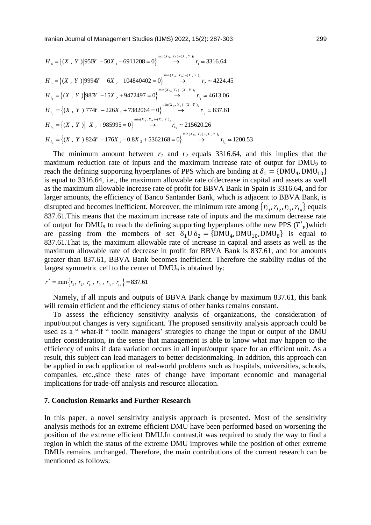$$
H_4 = \{(X, Y) | 950Y - 50X_1 - 6911208 = 0\} \longrightarrow r_1 \approx 3316.64
$$
  
\n
$$
H_5 = \{(X, Y) | 9994Y - 6X_2 - 104840402 = 0\} \longrightarrow r_2 \approx 4224.45
$$
  
\n
$$
H_{i_1} = \{(X, Y) | 985Y - 15X_2 + 9472497 = 0\} \longrightarrow r_{i_1} \approx 4613.06
$$
  
\n
$$
H_{i_2} = \{(X, Y) | 774Y - 226X_1 + 7382064 = 0\} \longrightarrow r_{i_2} \approx 837.61
$$
  
\n
$$
H_{i_3} = \{(X, Y) | -X_2 + 985995 = 0\} \longrightarrow r_{i_3} \approx 215620.26
$$
  
\n
$$
H_{i_4} = \{(X, Y) | -X_2 + 985995 = 0\} \longrightarrow r_{i_3} \approx 215620.26
$$
  
\n
$$
H_{i_4} = \{(X, Y) | 824Y - 176X_1 - 0.8X_2 + 5362168 = 0\} \longrightarrow r_{i_4} \approx 1200.53
$$

The minimum amount between  $r_1$  and  $r_2$  equals 3316.64, and this implies that the maximum reduction rate of inputs and the maximum increase rate of output for DMU<sup>9</sup> to reach the defining supporting hyperplanes of PPS which are binding at  $\delta_1 = {\text{DMU}_4, \text{DMU}_{10}}$ is equal to 3316.64, i.e., the maximum allowable rate ofdecrease in capital and assets as well as the maximum allowable increase rate of profit for BBVA Bank in Spain is 3316.64, and for larger amounts, the efficiency of Banco Santander Bank, which is adjacent to BBVA Bank, is disrupted and becomes inefficient. Moreover, the minimum rate among  $\{r_{i_1}, r_{i_2}, r_{i_3}, r_{i_4}\}$  equals 837.61.This means that the maximum increase rate of inputs and the maximum decrease rate of output for DMU<sub>9</sub> to reach the defining supporting hyperplanes of the new PPS  $(T'_v)$  which are passing from the members of set  $\delta_1 U \delta_2 = {\text{DMU}_4, \text{DMU}_{10}, \text{DMU}_8}$  is equal to 837.61.That is, the maximum allowable rate of increase in capital and assets as well as the maximum allowable rate of decrease in profit for BBVA Bank is 837.61, and for amounts greater than 837.61, BBVA Bank becomes inefficient. Therefore the stability radius of the largest symmetric cell to the center of DMU<sub>9</sub> is obtained by:

$$
r^* = \min\left\{r_1, r_2, r_{i_1}, r_{i_2}, r_{i_3}, r_{i_4}\right\} = 837.61
$$

Namely, if all inputs and outputs of BBVA Bank change by maximum 837.61, this bank will remain efficient and the efficiency status of other banks remains constant.

To assess the efficiency sensitivity analysis of organizations, the consideration of input/output changes is very significant. The proposed sensitivity analysis approach could be used as a " what-if " toolin managers' strategies to change the input or output of the DMU under consideration, in the sense that management is able to know what may happen to the efficiency of units if data variation occurs in all input/output space for an efficient unit. As a result, this subject can lead managers to better decisionmaking. In addition, this approach can be applied in each application of real-world problems such as hospitals, universities, schools, companies, etc.,since these rates of change have important economic and managerial implications for trade-off analysis and resource allocation.

#### **7. Conclusion Remarks and Further Research**

In this paper, a novel sensitivity analysis approach is presented. Most of the sensitivity analysis methods for an extreme efficient DMU have been performed based on worsening the position of the extreme efficient DMU.In contrast,it was required to study the way to find a region in which the status of the extreme DMU improves while the position of other extreme DMUs remains unchanged. Therefore, the main contributions of the current research can be mentioned as follows: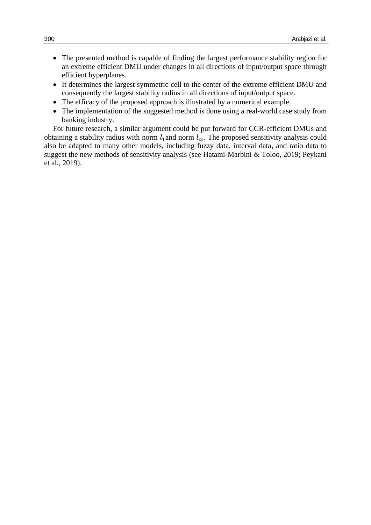- The presented method is capable of finding the largest performance stability region for an extreme efficient DMU under changes in all directions of input/output space through efficient hyperplanes.
- It determines the largest symmetric cell to the center of the extreme efficient DMU and consequently the largest stability radius in all directions of input/output space.
- The efficacy of the proposed approach is illustrated by a numerical example.
- The implementation of the suggested method is done using a real-world case study from banking industry.

For future research, a similar argument could be put forward for CCR-efficient DMUs and obtaining a stability radius with norm  $l_1$  and norm  $l_\infty$ . The proposed sensitivity analysis could also be adapted to many other models, including fuzzy data, interval data, and ratio data to suggest the new methods of sensitivity analysis (see Hatami-Marbini & Toloo, 2019; Peykani et al., 2019).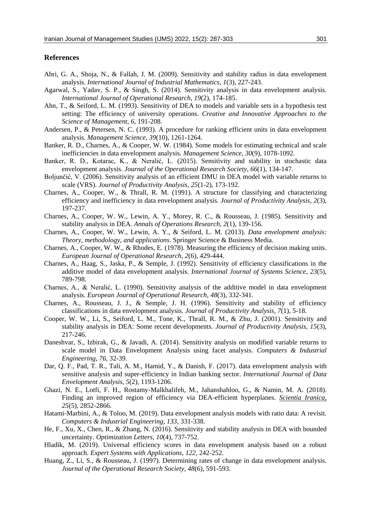#### **References**

- Abri, G. A., Shoja, N., & Fallah, J. M. (2009). Sensitivity and stability radius in data envelopment analysis. *International Journal of Industrial Mathematics*, *1*(3), 227-243.
- Agarwal, S., Yadav, S. P., & Singh, S. (2014). Sensitivity analysis in data envelopment analysis. *International Journal of Operational Research*, *19*(2), 174-185.
- Ahn, T., & Seiford, L. M. (1993). Sensitivity of DEA to models and variable sets in a hypothesis test setting: The efficiency of university operations. *Creative and Innovative Approaches to the Science of Management*, *6*, 191-208.
- Andersen, P., & Petersen, N. C. (1993). A procedure for ranking efficient units in data envelopment analysis. *Management Science*, *39*(10), 1261-1264.
- Banker, R. D., Charnes, A., & Cooper, W. W. (1984). Some models for estimating technical and scale inefficiencies in data envelopment analysis. *Management Science*, *30*(9), 1078-1092.
- Banker, R. D., Kotarac, K., & Neralić, L. (2015). Sensitivity and stability in stochastic data envelopment analysis. *Journal of the Operational Research Society*, *66*(1), 134-147.
- Boljunčić, V. (2006). Sensitivity analysis of an efficient DMU in DEA model with variable returns to scale (VRS). *Journal of Productivity Analysis*, *25*(1-2), 173-192.
- Charnes, A., Cooper, W., & Thrall, R. M. (1991). A structure for classifying and characterizing efficiency and inefficiency in data envelopment analysis. *Journal of Productivity Analysis*, *2*(3), 197-237.
- Charnes, A., Cooper, W. W., Lewin, A. Y., Morey, R. C., & Rousseau, J. (1985). Sensitivity and stability analysis in DEA. *Annals of Operations Research*, *2*(1), 139-156.
- Charnes, A., Cooper, W. W., Lewin, A. Y., & Seiford, L. M. (2013). *Data envelopment analysis: Theory, methodology, and applications*. Springer Science & Business Media.
- Charnes, A., Cooper, W. W., & Rhodes, E. (1978). Measuring the efficiency of decision making units. *European Journal of Operational Research*, *2*(6), 429-444.
- Charnes, A., Haag, S., Jaska, P., & Semple, J. (1992). Sensitivity of efficiency classifications in the additive model of data envelopment analysis. *International Journal of Systems Science*, *23*(5), 789-798.
- Charnes, A., & Neralić, L. (1990). Sensitivity analysis of the additive model in data envelopment analysis. *European Journal of Operational Research*, *48*(3), 332-341.
- Charnes, A., Rousseau, J. J., & Semple, J. H. (1996). Sensitivity and stability of efficiency classifications in data envelopment analysis. *Journal of Productivity Analysis*, *7*(1), 5-18.
- Cooper, W. W., Li, S., Seiford, L. M., Tone, K., Thrall, R. M., & Zhu, J. (2001). Sensitivity and stability analysis in DEA: Some recent developments. *Journal of Productivity Analysis, 15*(3), 217-246.
- Daneshvar, S., Izbirak, G., & Javadi, A. (2014). Sensitivity analysis on modified variable returns to scale model in Data Envelopment Analysis using facet analysis. *Computers & Industrial Engineering*, *76*, 32-39.
- Dar, Q. F., Pad, T. R., Tali, A. M., Hamid, Y., & Danish, F. (2017). data envelopment analysis with sensitive analysis and super-efficiency in Indian banking sector. *International Journal of Data Envelopment Analysis*, *5*(2), 1193-1206.
- Ghazi, N. E., Lotfi, F. H., Rostamy-Malkhalifeh, M., Jahanshahloo, G., & Namin, M. A. (2018). Finding an improved region of efficiency via DEA-efficient hyperplanes. *Scientia Iranica, 25*(5), 2852-2866.
- Hatami-Marbini, A., & Toloo, M. (2019). Data envelopment analysis models with ratio data: A revisit. *Computers & Industrial Engineering, 133,* 331-338.
- He, F., Xu, X., Chen, R., & Zhang, N. (2016). Sensitivity and stability analysis in DEA with bounded uncertainty. *Optimization Letters*, *10*(4), 737-752.
- Hladík, M. (2019). Universal efficiency scores in data envelopment analysis based on a robust approach. *Expert Systems with Applications*, *122*, 242-252.
- Huang, Z., Li, S., & Rousseau, J. (1997). Determining rates of change in data envelopment analysis. *Journal of the Operational Research Society*, *48*(6), 591-593.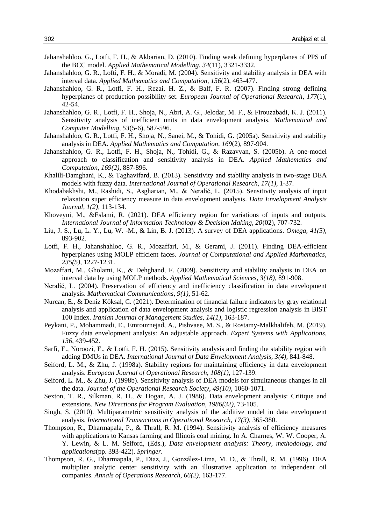- Jahanshahloo, G., Lotfi, F. H., & Akbarian, D. (2010). Finding weak defining hyperplanes of PPS of the BCC model. *Applied Mathematical Modelling*, *34*(11), 3321-3332.
- Jahanshahloo, G. R., Lofti, F. H., & Moradi, M. (2004). Sensitivity and stability analysis in DEA with interval data. *Applied Mathematics and Computation*, *156*(2), 463-477.
- Jahanshahloo, G. R., Lotfi, F. H., Rezai, H. Z., & Balf, F. R. (2007). Finding strong defining hyperplanes of production possibility set. *European Journal of Operational Research*, *177*(1), 42-54.
- Jahanshahloo, G. R., Lotfi, F. H., Shoja, N., Abri, A. G., Jelodar, M. F., & Firouzabadi, K. J. (2011). Sensitivity analysis of inefficient units in data envelopment analysis. *Mathematical and Computer Modelling*, *53*(5-6), 587-596.
- Jahanshahloo, G. R., Lotfi, F. H., Shoja, N., Sanei, M., & Tohidi, G. (2005a). Sensitivity and stability analysis in DEA. *Applied Mathematics and Computation*, *169*(2), 897-904.
- Jahanshahloo, G. R., Lotfi, F. H., Shoja, N., Tohidi, G., & Razavyan, S. (2005b). A one-model approach to classification and sensitivity analysis in DEA. *Applied Mathematics and Computation, 169(2),* 887-896.
- Khalili-Damghani, K., & Taghavifard, B. (2013). Sensitivity and stability analysis in two-stage DEA models with fuzzy data. *International Journal of Operational Research, 17(1),* 1-37.
- Khodabakhshi, M., Rashidi, S., Asgharian, M., & Neralić, L. (2015). Sensitivity analysis of input relaxation super efficiency measure in data envelopment analysis. *Data Envelopment Analysis Journal, 1(2),* 113-134.
- Khoveyni, M., &Eslami, R. (2021). DEA efficiency region for variations of inputs and outputs. *International Journal of Information Technology & Decision Making, 20*(02), 707-732.
- Liu, J. S., Lu, L. Y., Lu, W. -M., & Lin, B. J. (2013). A survey of DEA applications. *Omega, 41(5),*  893-902.
- Lotfi, F. H., Jahanshahloo, G. R., Mozaffari, M., & Gerami, J. (2011). Finding DEA-efficient hyperplanes using MOLP efficient faces. *Journal of Computational and Applied Mathematics, 235(5),* 1227-1231.
- Mozaffari, M., Gholami, K., & Dehghand, F. (2009). Sensitivity and stability analysis in DEA on interval data by using MOLP methods. *Applied Mathematical Sciences, 3(18),* 891-908.
- Neralić, L. (2004). Preservation of efficiency and inefficiency classification in data envelopment analysis. *Mathematical Communications, 9(1),* 51-62.
- Nurcan, E., & Deniz Köksal, C. (2021). Determination of financial failure indicators by gray relational analysis and application of data envelopment analysis and logistic regression analysis in BIST 100 Index. *Iranian Journal of Management Studies, 14(1),* 163-187.
- Peykani, P., Mohammadi, E., Emrouznejad, A., Pishvaee, M. S., & Rostamy-Malkhalifeh, M. (2019). Fuzzy data envelopment analysis: An adjustable approach. *Expert Systems with Applications, 136*, 439-452.
- Sarfi, E., Noroozi, E., & Lotfi, F. H. (2015). Sensitivity analysis and finding the stability region with adding DMUs in DEA. *International Journal of Data Envelopment Analysis, 3(4),* 841-848.
- Seiford, L. M., & Zhu, J. (1998a). Stability regions for maintaining efficiency in data envelopment analysis. *European Journal of Operational Research, 108(1)*, 127-139.
- Seiford, L. M., & Zhu, J. (1998b). Sensitivity analysis of DEA models for simultaneous changes in all the data. *Journal of the Operational Research Society, 49(10),* 1060-1071.
- Sexton, T. R., Silkman, R. H., & Hogan, A. J. (1986). Data envelopment analysis: Critique and extensions. *New Directions for Program Evaluation, 1986(32),* 73-105.
- Singh, S. (2010). Multiparametric sensitivity analysis of the additive model in data envelopment analysis. *International Transactions in Operational Research, 17(3),* 365-380.
- Thompson, R., Dharmapala, P., & Thrall, R. M. (1994). Sensitivity analysis of efficiency measures with applications to Kansas farming and Illinois coal mining. In A. Charnes, W. W. Cooper, A. Y. Lewin, & L. M. Seiford, (Eds.), *Data envelopment analysis: Theory, methodology, and applications*(pp. 393-422). *Springer.*
- Thompson, R. G., Dharmapala, P., Diaz, J., González-Lima, M. D., & Thrall, R. M. (1996). DEA multiplier analytic center sensitivity with an illustrative application to independent oil companies. *Annals of Operations Research, 66(2),* 163-177.